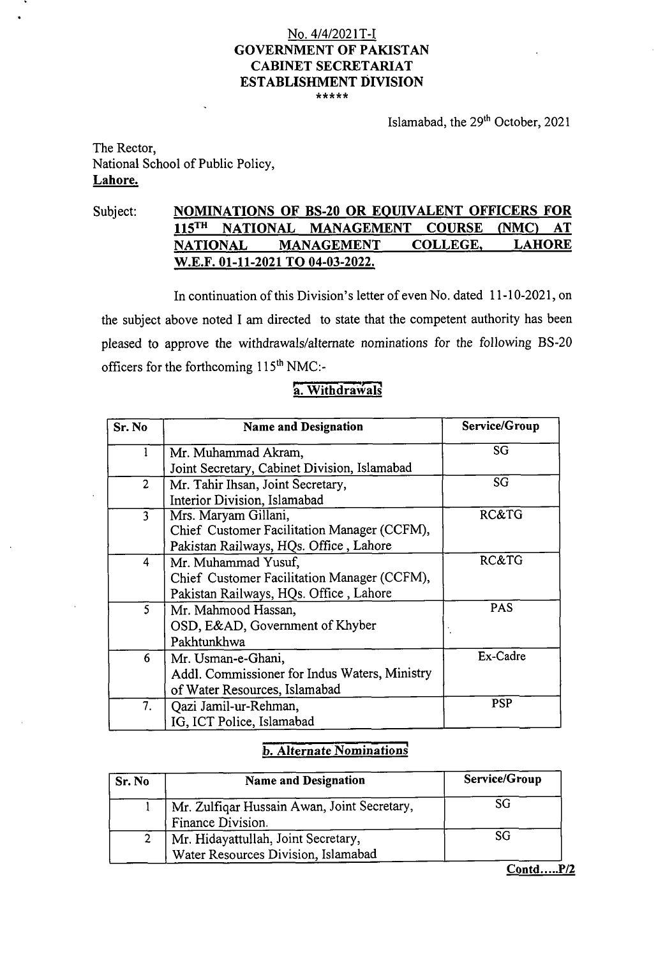## $No. 4/4/2021T-I$ **GOVERNMENT OF PAKISTAN CABINET SECRETARIAT ESTABLISHMENT DIVISION** \*\*\*\*\*

Islamabad, the 29th October, 2021

#### The Rector, National School of Public Policy, **Lahore.**

#### Subject: **NOMINATIONS OF BS-20 OR EQUIVALENT OFFICERS FOR 115TH NATIONAL MANAGEMENT COURSE (NMC) AT NATIONAL MANAGEMENT COLLEGE, LAHORE W.E.F. 01-11-2021 TO 04-03-2022.**

In continuation of this Division's letter of even No. dated 11-10-2021, on the subject above noted I am directed to state that the competent authority has been pleased to approve the withdrawals/alternate nominations for the following BS-20 officers for the forthcoming  $115<sup>th</sup> NMC$ :-

# a. Withdrawals

| Sr. No         | <b>Name and Designation</b>                   | Service/Group |
|----------------|-----------------------------------------------|---------------|
|                | Mr. Muhammad Akram,                           | SG            |
|                | Joint Secretary, Cabinet Division, Islamabad  |               |
| $\overline{2}$ | Mr. Tahir Ihsan, Joint Secretary,             | SG            |
|                | Interior Division, Islamabad                  |               |
| 3              | Mrs. Maryam Gillani,                          | RC&TG         |
|                | Chief Customer Facilitation Manager (CCFM),   |               |
|                | Pakistan Railways, HQs. Office, Lahore        |               |
| 4              | Mr. Muhammad Yusuf,                           | RC&TG         |
|                | Chief Customer Facilitation Manager (CCFM),   |               |
|                | Pakistan Railways, HQs. Office, Lahore        |               |
| 5 <sup>1</sup> | Mr. Mahmood Hassan,                           | <b>PAS</b>    |
|                | OSD, E&AD, Government of Khyber               |               |
|                | Pakhtunkhwa                                   |               |
| 6              | Mr. Usman-e-Ghani,                            | Ex-Cadre      |
|                | Addl. Commissioner for Indus Waters, Ministry |               |
|                | of Water Resources, Islamabad                 |               |
| 7 <sub>1</sub> | Qazi Jamil-ur-Rehman,                         | <b>PSP</b>    |
|                | IG. ICT Police, Islamabad                     |               |

#### **b. Alternate Nominations**

| Sr. No | <b>Name and Designation</b>                                                | Service/Group |
|--------|----------------------------------------------------------------------------|---------------|
|        | Mr. Zulfiqar Hussain Awan, Joint Secretary,<br>Finance Division.           | SG            |
|        | Mr. Hidayattullah, Joint Secretary,<br>Water Resources Division, Islamabad | SG            |

**Contd** ..... **PI2**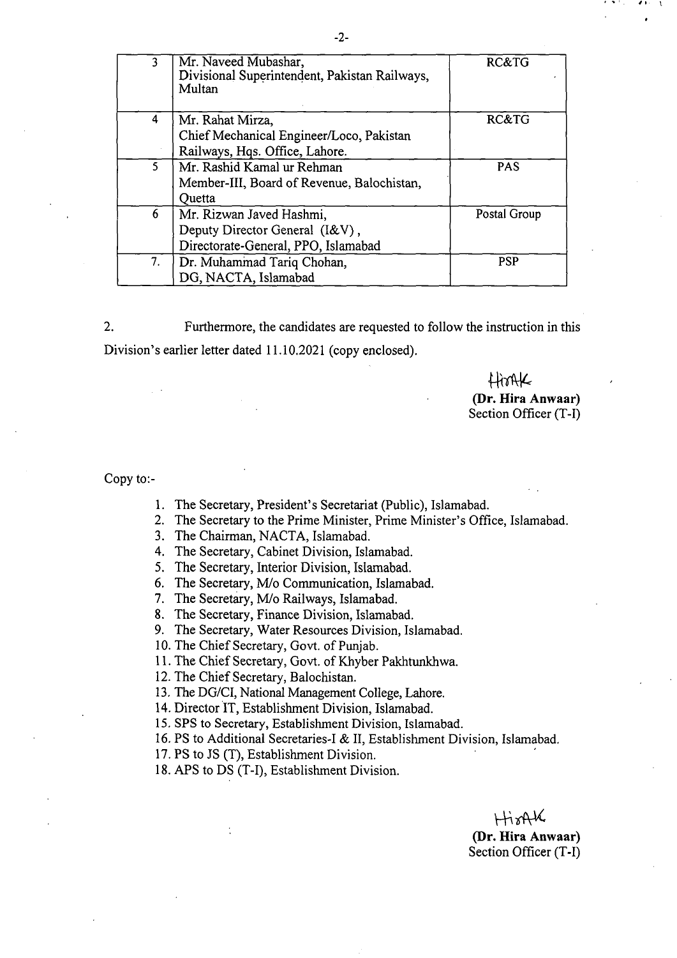| 3  | Mr. Naveed Mubashar,<br>Divisional Superintendent, Pakistan Railways,<br>Multan | RC&TG        |
|----|---------------------------------------------------------------------------------|--------------|
| 4  | Mr. Rahat Mirza,                                                                | RC&TG        |
|    | Chief Mechanical Engineer/Loco, Pakistan                                        |              |
|    | Railways, Hqs. Office, Lahore.                                                  |              |
| 5. | Mr. Rashid Kamal ur Rehman                                                      | <b>PAS</b>   |
|    | Member-III, Board of Revenue, Balochistan,                                      |              |
|    | Quetta                                                                          |              |
| 6  | Mr. Rizwan Javed Hashmi,                                                        | Postal Group |
|    | Deputy Director General (I&V),                                                  |              |
|    | Directorate-General, PPO, Islamabad                                             |              |
| 7. | Dr. Muhammad Tariq Chohan,                                                      | <b>PSP</b>   |
|    | DG, NACTA, Islamabad                                                            |              |

2. Furthermore, the candidates are requested to follow the instruction in this Division's earlier letter dated 11.10.2021 (copy enclosed).

> Himk **(Dr. Hira Anwaar)**  Section Officer (T-I)

Copy t0:-

- 1. The Secretary, President's Secretariat (Public), Islamabad.
- 2. The Secretary to the Prime Minister, Prime Minister's Office, Islamabad.
- **3.** The Chairman, NACTA, Islamabad.
- 4. The Secretary, Cabinet Division, Islamabad.
- 5. The Secretary, Interior Division, Islamabad.
- 6. The Secretary, Wo Communication, Islamabad.
- **7.** The Secretary, Wo Railways, Islamabad.
- 8. The Secretary, Finance Division, Islamabad.
- 9. The Secretary, Water Resources Division, Islamabad.
- 10. The Chief Secretary, Govt. of Punjab.

1 1. The Chief Secretary, Govt. of Khyber Pakhtunkhwa.

12. The Chief Secretary, Balochistan.

13. The DG/CI, National Management College, Lahore.

14. Director IT, Establishment Division, Islamabad.

15. SPS to Secretary, Establishment Division, Islamabad.

16. PS to Additional Secretaries-I & 11, Establishment Division, Islamabad.

17. PS to JS (T), Establishment Division.

18. APS to DS (T-I), Establishment Division.

 $H$ *isAK* **(Dr. Hira Anwaar)**  Section Officer (T-I)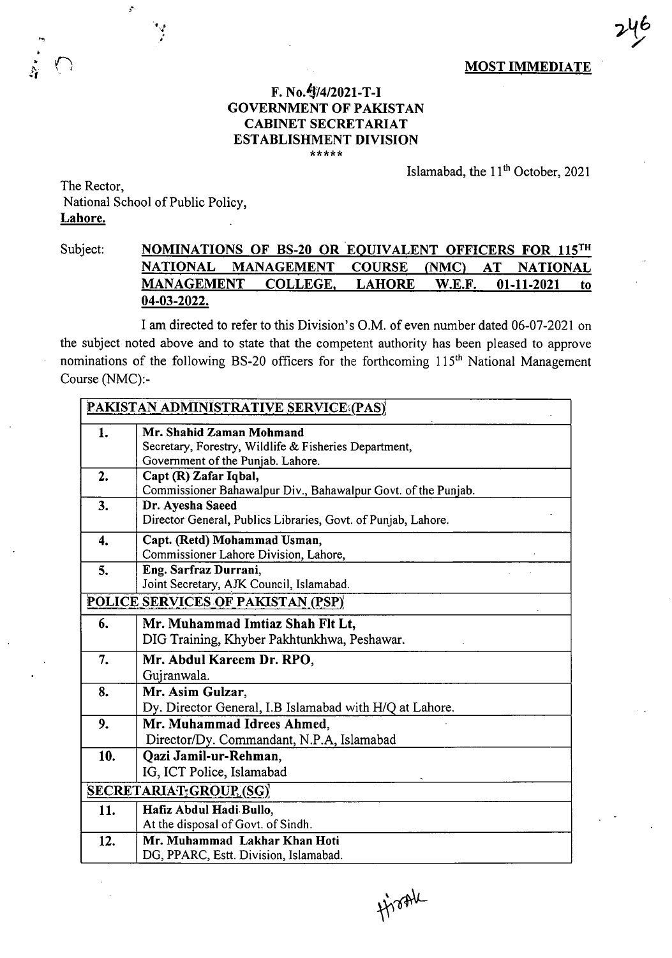MOST IMMEDIATE

## $F. No.~1/4/2021-T-I$ GOVERNMENT OF PAKISTAN CABINET SECRETARIAT ESTABLISHMENT DIVISION

Islamabad, the 1 l'h October, 2021

The Rector, National School of Public Policy, Lahore.

 $\mathbf{r}$ 

### Subject: NOMINATIONS OF BS-20 OR EQUIVALENT OFFICERS FOR 115<sup>TH</sup> NATIONAL MANAGEMENT COURSE (NMC) AT NATIONAL MANAGEMENT COLLEGE, LAHORE W.E.F. 01-11-2021 to 04-03-2022.

I am directed to refer to this Division's O.M. of even number dated 06-07-2021 on the subject noted above and to state that the competent authority has been pleased to approve nominations of the following BS-20 officers for the forthcoming  $115<sup>th</sup>$  National Management Course (NMC):-

| PAKISTAN ADMINISTRATIVE SERVICE (PAS) |                                                                                   |
|---------------------------------------|-----------------------------------------------------------------------------------|
| 1.                                    | Mr. Shahid Zaman Mohmand<br>Secretary, Forestry, Wildlife & Fisheries Department, |
|                                       | Government of the Punjab. Lahore.                                                 |
| 2.                                    | Capt (R) Zafar Iqbal,                                                             |
|                                       | Commissioner Bahawalpur Div., Bahawalpur Govt. of the Punjab.                     |
| 3.                                    | Dr. Ayesha Saeed                                                                  |
|                                       | Director General, Publics Libraries, Govt. of Punjab, Lahore.                     |
| $\boldsymbol{4}$ .                    | Capt. (Retd) Mohammad Usman,                                                      |
|                                       | Commissioner Lahore Division, Lahore,                                             |
| 5.                                    | Eng. Sarfraz Durrani,                                                             |
|                                       | Joint Secretary, AJK Council, Islamabad.                                          |
| POLICE SERVICES OF PAKISTAN (PSP)     |                                                                                   |
| 6.                                    | Mr. Muhammad Imtiaz Shah Flt Lt,                                                  |
|                                       | DIG Training, Khyber Pakhtunkhwa, Peshawar.                                       |
| 7.                                    | Mr. Abdul Kareem Dr. RPO,                                                         |
|                                       | Gujranwala.                                                                       |
| 8.                                    | Mr. Asim Gulzar,                                                                  |
|                                       | Dy. Director General, I.B Islamabad with H/Q at Lahore.                           |
| 9.                                    | Mr. Muhammad Idrees Ahmed,                                                        |
|                                       | Director/Dy. Commandant, N.P.A, Islamabad                                         |
| 10.                                   | Qazi Jamil-ur-Rehman,                                                             |
|                                       | IG, ICT Police, Islamabad                                                         |
|                                       | SECRETARIAT <sub>2</sub> GROUP <sub>.</sub> (SG)                                  |
| 11.                                   | Hafiz Abdul Hadi Bullo,                                                           |
|                                       | At the disposal of Govt. of Sindh.                                                |
| 12.                                   | Mr. Muhammad Lakhar Khan Hoti                                                     |
|                                       | DG, PPARC, Estt. Division, Islamabad.                                             |

Hroak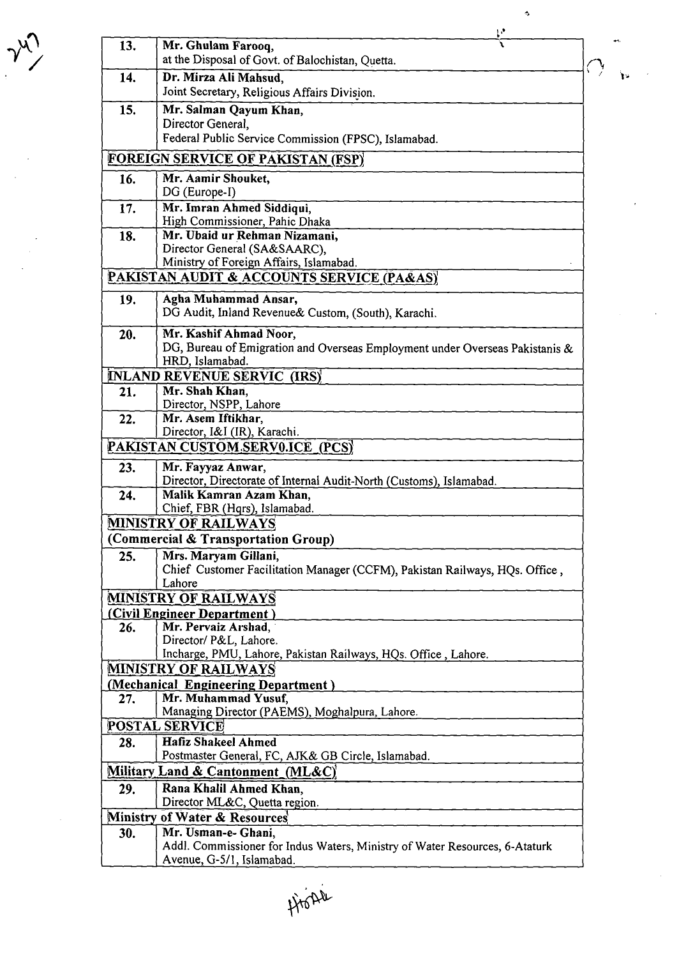| 13. | Mr. Ghulam Farooq,<br>at the Disposal of Govt. of Balochistan, Quetta.       |    |
|-----|------------------------------------------------------------------------------|----|
|     |                                                                              |    |
| 14. | Dr. Mirza Ali Mahsud,<br>Joint Secretary, Religious Affairs Division.        | Ì۳ |
| 15. | Mr. Salman Qayum Khan,                                                       |    |
|     | Director General,                                                            |    |
|     | Federal Public Service Commission (FPSC), Islamabad.                         |    |
|     | <b>FOREIGN SERVICE OF PAKISTAN (FSP)</b>                                     |    |
| 16. | Mr. Aamir Shouket,                                                           |    |
|     | DG (Europe-I)                                                                |    |
| 17. | Mr. Imran Ahmed Siddiqui,                                                    |    |
|     | High Commissioner, Pahic Dhaka                                               |    |
| 18. | Mr. Ubaid ur Rehman Nizamani,                                                |    |
|     | Director General (SA&SAARC),                                                 |    |
|     | Ministry of Foreign Affairs, Islamabad.                                      |    |
|     | PAKISTAN AUDIT & ACCOUNTS SERVICE (PA&AS)                                    |    |
| 19. | Agha Muhammad Ansar,<br>DG Audit, Inland Revenue& Custom, (South), Karachi.  |    |
| 20. | Mr. Kashif Ahmad Noor,                                                       |    |
|     | DG, Bureau of Emigration and Overseas Employment under Overseas Pakistanis & |    |
|     | HRD, Islamabad.                                                              |    |
|     | <b>INLAND REVENUE SERVIC (IRS)</b>                                           |    |
| 21. | Mr. Shah Khan,                                                               |    |
|     | Director, NSPP, Lahore                                                       |    |
| 22. | Mr. Asem Iftikhar,                                                           |    |
|     | Director, I&I (IR), Karachi.                                                 |    |
|     | PAKISTAN CUSTOM SERVO.ICE (PCS)                                              |    |
| 23. | Mr. Fayyaz Anwar,                                                            |    |
|     | Director, Directorate of Internal Audit-North (Customs), Islamabad.          |    |
| 24. | Malik Kamran Azam Khan,                                                      |    |
|     | Chief, FBR (Hqrs), Islamabad.                                                |    |
|     | <b>MINISTRY OF RAILWAYS</b>                                                  |    |
|     | (Commercial & Transportation Group)                                          |    |
| 25. | Mrs. Maryam Gillani,                                                         |    |
|     | Chief Customer Facilitation Manager (CCFM), Pakistan Railways, HQs. Office,  |    |
|     | Lahore                                                                       |    |
|     | MINISTRY OF RAILWAYS                                                         |    |
|     | (Civil Engineer Department)                                                  |    |
| 26. | Mr. Pervaiz Arshad,                                                          |    |
|     | Director/ P&L, Lahore.                                                       |    |
|     | Incharge, PMU, Lahore, Pakistan Railways, HQs. Office, Lahore.               |    |
|     | <b>MINISTRY OF RAILWAYS</b>                                                  |    |
|     | (Mechanical Engineering Department)                                          |    |
| 27. | Mr. Muhammad Yusuf,                                                          |    |
|     | Managing Director (PAEMS), Moghalpura, Lahore.                               |    |
|     | POSTAL SERVICE                                                               |    |
| 28. | <b>Hafiz Shakeel Ahmed</b>                                                   |    |
|     | Postmaster General, FC, AJK& GB Circle, Islamabad.                           |    |
|     | Military Land & Cantonment (ML&C)                                            |    |
| 29. | Rana Khalil Ahmed Khan,                                                      |    |
|     | Director ML&C, Quetta region.                                                |    |
|     | Ministry of Water & Resources                                                |    |
| 30. | Mr. Usman-e- Ghani,                                                          |    |
|     | Addl. Commissioner for Indus Waters, Ministry of Water Resources, 6-Ataturk  |    |
|     | Avenue, G-5/1, Islamabad.                                                    |    |

 $v^{(1)}$ 

 $\ddot{\phantom{0}}$ 

Histie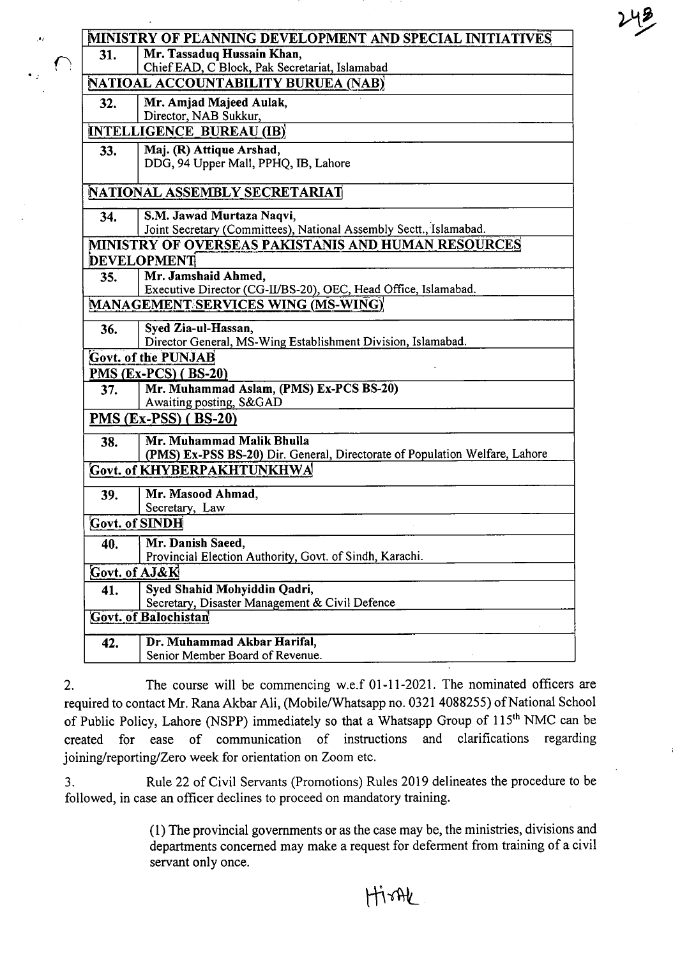| MINISTRY OF PLANNING DEVELOPMENT AND SPECIAL INITIATIVES |                                                                              |  |  |
|----------------------------------------------------------|------------------------------------------------------------------------------|--|--|
| 31.                                                      | Mr. Tassaduq Hussain Khan.<br>Chief EAD, C Block, Pak Secretariat, Islamabad |  |  |
|                                                          |                                                                              |  |  |
|                                                          | NATIOAL ACCOUNTABILITY BURUEA (NAB)                                          |  |  |
| 32.                                                      | Mr. Amjad Majeed Aulak,                                                      |  |  |
|                                                          | Director, NAB Sukkur,                                                        |  |  |
|                                                          | <b>INTELLIGENCE BUREAU (IB)</b>                                              |  |  |
| 33.                                                      | Maj. (R) Attique Arshad,                                                     |  |  |
|                                                          | DDG, 94 Upper Mall, PPHQ, IB, Lahore                                         |  |  |
|                                                          |                                                                              |  |  |
|                                                          | NATIONAL ASSEMBLY SECRETARIAT                                                |  |  |
| 34.                                                      | S.M. Jawad Murtaza Naqvi,                                                    |  |  |
|                                                          | Joint Secretary (Committees), National Assembly Sectt., Islamabad.           |  |  |
|                                                          | MINISTRY OF OVERSEAS PAKISTANIS AND HUMAN RESOURCES                          |  |  |
|                                                          | DEVELOPMENT                                                                  |  |  |
| 35.                                                      | Mr. Jamshaid Ahmed,                                                          |  |  |
|                                                          | Executive Director (CG-II/BS-20), OEC, Head Office, Islamabad.               |  |  |
|                                                          | <b>MANAGEMENT SERVICES WING (MS-WING)</b>                                    |  |  |
|                                                          |                                                                              |  |  |
| 36.                                                      | Sved Zia-ul-Hassan,                                                          |  |  |
|                                                          | Director General, MS-Wing Establishment Division, Islamabad.                 |  |  |
|                                                          | Govt. of the PUNJAB                                                          |  |  |
|                                                          | <b>PMS (Ex-PCS) (BS-20)</b>                                                  |  |  |
| 37.                                                      | Mr. Muhammad Aslam, (PMS) Ex-PCS BS-20)                                      |  |  |
|                                                          | Awaiting posting, S&GAD                                                      |  |  |
| PMS (Ex-PSS) (BS-20)                                     |                                                                              |  |  |
| 38.                                                      | Mr. Muhammad Malik Bhulla                                                    |  |  |
|                                                          | (PMS) Ex-PSS BS-20) Dir. General, Directorate of Population Welfare, Lahore  |  |  |
|                                                          | Govt. of KHYBERPAKHTUNKHWA                                                   |  |  |
| 39.                                                      | Mr. Masood Ahmad,                                                            |  |  |
|                                                          | Secretary, Law                                                               |  |  |
|                                                          | Govt. of SINDH                                                               |  |  |
| 40.                                                      | Mr. Danish Saeed,                                                            |  |  |
|                                                          | Provincial Election Authority, Govt. of Sindh, Karachi.                      |  |  |
| Govt. of AJ&K                                            |                                                                              |  |  |
| 41.                                                      | Syed Shahid Mohyiddin Qadri,                                                 |  |  |
|                                                          | Secretary, Disaster Management & Civil Defence                               |  |  |
| <b>Govt. of Balochistan</b>                              |                                                                              |  |  |
| 42.                                                      | Dr. Muhammad Akbar Harifal,                                                  |  |  |
|                                                          | Senior Member Board of Revenue.                                              |  |  |
|                                                          |                                                                              |  |  |

2. The course will be commencing w.e.f 01-11-2021. The nominated officers are required to contact Mr. Rana Akbar Ali, (Mobile/Whatsapp no. 0321 4088255) of National School of Public Policy, Lahore (NSPP) immediately so that a Whatsapp Group of 115<sup>th</sup> NMC can be created for ease of communication of instructions and clarifications regarding joining/reporting/Zero week for orientation on Zoom etc.

3. Rule 22 of Civil Servants (Promotions) Rules 2019 delineates the procedure to be followed, in case an officer declines to proceed on mandatory training.

> (1) The provincial governments or as the case may be, the ministries, divisions and departments concerned may make a request for deferment fiom training of a civil servant only once.

HirAL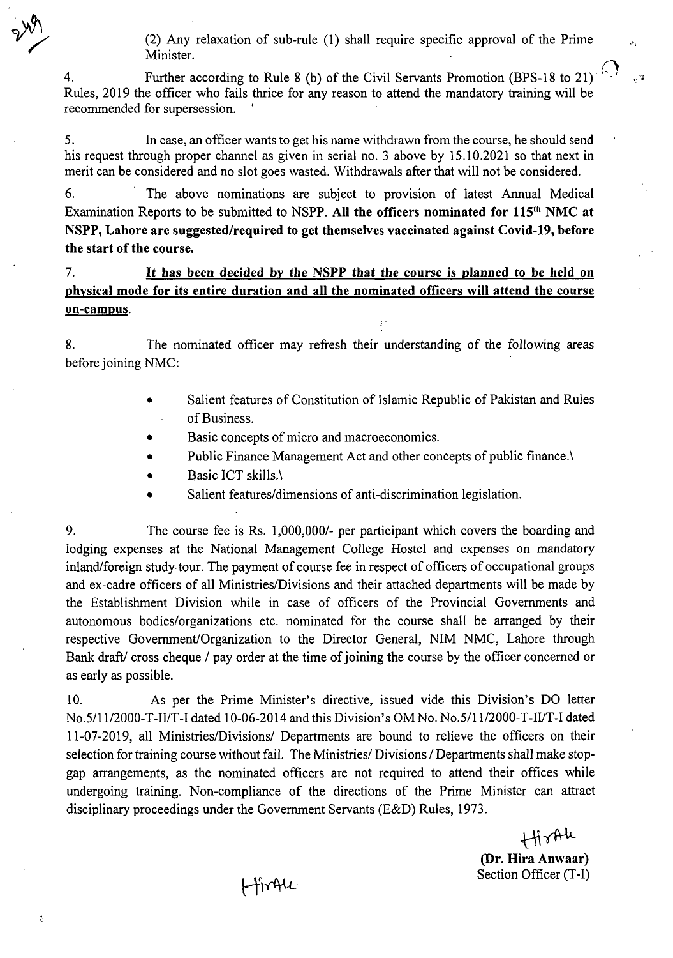(2) Any relaxation of sub-rule (1) shall require specific approval of the Prime  $\mathcal{L}_{\mathbf{a}}$ Minister.

4. Further according to Rule 8 (b) of the Civil Servants Promotion (BPS-18 to 21)  $\mathbb{R}^2$ Rules, 2019 the officer who fails thrice for any reason to attend the mandatory training will be recommended for supersession.

5. In case, an officer wants to get his name withdrawn from the course, he should send . his request through proper channel as given in serial no. 3 above by 15.10.2021 so that next in merit can be considered and no slot goes wasted. Withdrawals after that will not be considered.

6. The above nominations are subject to provision of latest Annual Medical Examination Reports to be submitted to NSPP. **All the officers nominated for 115th NMC at NSPP, Lahore are suggested/required to get themselves vaccinated against Covid-19, before the start of the course.** 

7. **It has been decided by the NSPP that the course is planned to be held on physical mode for its entire duration and all the nominated officers will attend the course**  on-campus.

8. The nominated officer may refresh their understanding of the following areas before joining NMC:

- Salient features of Constitution of Islamic Republic of Pakistan and Rules of Business.
- Basic concepts of micro and macroeconomics.
- Public Finance Management Act and other concepts of public finance.\
- Basic ICT skills.\
- Salient features/dimensions of anti-discrimination legislation.

9. The course fee is Rs. 1,000,000/- per participant which covers the boarding and lodging expenses at the National Management College Hostel and expenses on mandatory inland/foreign study tour. The payment of course fee in respect of officers of occupational groups and ex-cadre officers of all Ministries/Divisions and their attached departments will be made by the Establishment Division while in case of officers of the Provincial Governments and autonomous bodies/organizations etc. nominated for the course shall be arranged by their respective Government/Organization to the Director General, NIM NMC, Lahore through Bank draft/ cross cheque / pay order at the time of joining the course by the officer concerned or as early as possible.

10. As per the Prime Minister's directive, issued vide this Division's DO letter No.5/11/2000-T-IIIT-I dated 10-06-2014 and this Division's OM No. No.5/11/2000-T-II/T-I dated 11-07-2019, all Ministries/Divisions/ Departments are bound to relieve the officers on their selection for training course without fail. The Ministries/ Divisions / Departments shall make stopgap arrangements, as the nominated officers are not required to attend their offices while undergoing training. Non-compliance of the directions of the Prime Minister can attract disciplinary proceedings under the Government Servants (E&D) Rules, 1973.

> $H\delta A\mu$ **(Dr. Hira Anwaar)**  Section Officer (T-I)

HirAll

ŧ